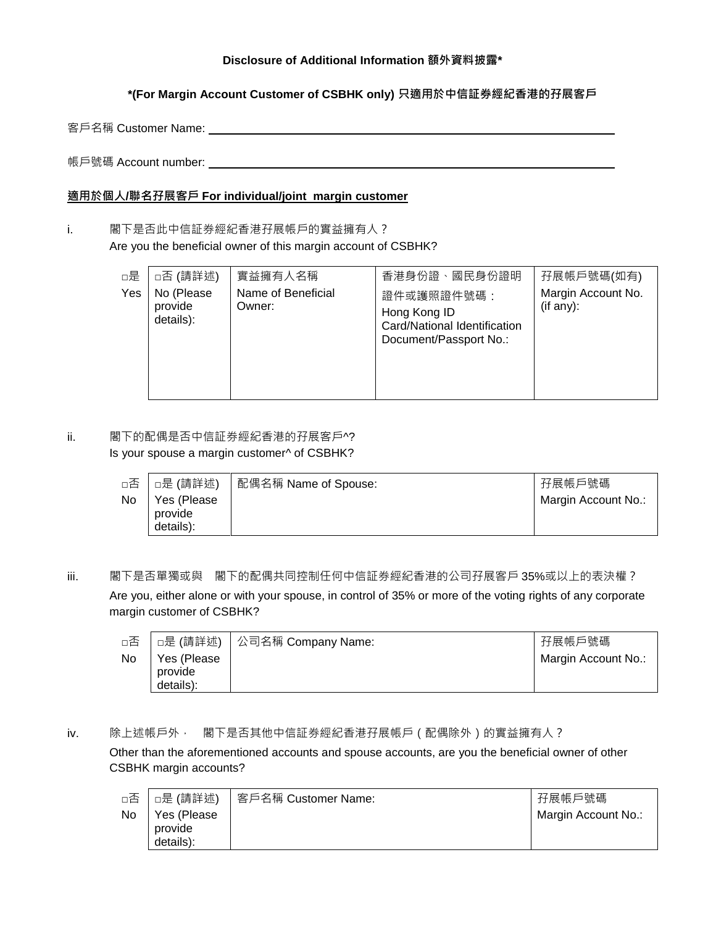### **Disclosure of Additional Information 額外資料披露\***

**\*(For Margin Account Customer of CSBHK only) 只適用於中信証券經紀香港的孖展客戶**

客戶名稱 Customer Name: University According to the University According to the University According to the University A

帳戶號碼 Account number:

### **適用於個人/聯名孖展客戶 For individual/joint margin customer**

i. 閣下是否此中信証券經紀香港孖展帳戶的實益擁有人? Are you the beneficial owner of this margin account of CSBHK?

| □是<br>Yes | □否 (請詳述)<br>No (Please<br>provide<br>details): | 實益擁有人名稱<br>Name of Beneficial<br>Owner: | 香港身份證、國民身份證明<br>證件或護照證件號碼:<br>Hong Kong ID<br>Card/National Identification<br>Document/Passport No.: | 孖展帳戶號碼(如有)<br>Margin Account No.<br>(if any): |
|-----------|------------------------------------------------|-----------------------------------------|------------------------------------------------------------------------------------------------------|-----------------------------------------------|
|-----------|------------------------------------------------|-----------------------------------------|------------------------------------------------------------------------------------------------------|-----------------------------------------------|

ii. 图下的配偶是否中信証券經紀香港的孖展客戶^? Is your spouse a margin customer^ of CSBHK?

| □否 | □是 (請詳述)                            | 配偶名稱 Name of Spouse: | 孖展帳戶號碼              |
|----|-------------------------------------|----------------------|---------------------|
| No | Yes (Please<br>provide<br>details): |                      | Margin Account No.: |

iii. 閣下是否單獨或與 閣下的配偶共同控制任何中信証券經紀香港的公司孖展客戶 35%或以上的表決權?

Are you, either alone or with your spouse, in control of 35% or more of the voting rights of any corporate margin customer of CSBHK?

| □否 |                                      | □是 (請詳述) │ 公司名稱 Company Name: | 孖展帳戶號碼              |
|----|--------------------------------------|-------------------------------|---------------------|
| No | Yes (Please)<br>provide<br>details): |                               | Margin Account No.: |

#### iv. 除上述帳戶外, 閣下是否其他中信証券經紀香港孖展帳戶 (配偶除外) 的實益擁有人?

Other than the aforementioned accounts and spouse accounts, are you the beneficial owner of other CSBHK margin accounts?

| □否 | □是 (請詳述)                            | 客戶名稱 Customer Name: | 孖展帳戶號碼              |
|----|-------------------------------------|---------------------|---------------------|
| No | Yes (Please<br>provide<br>details): |                     | Margin Account No.: |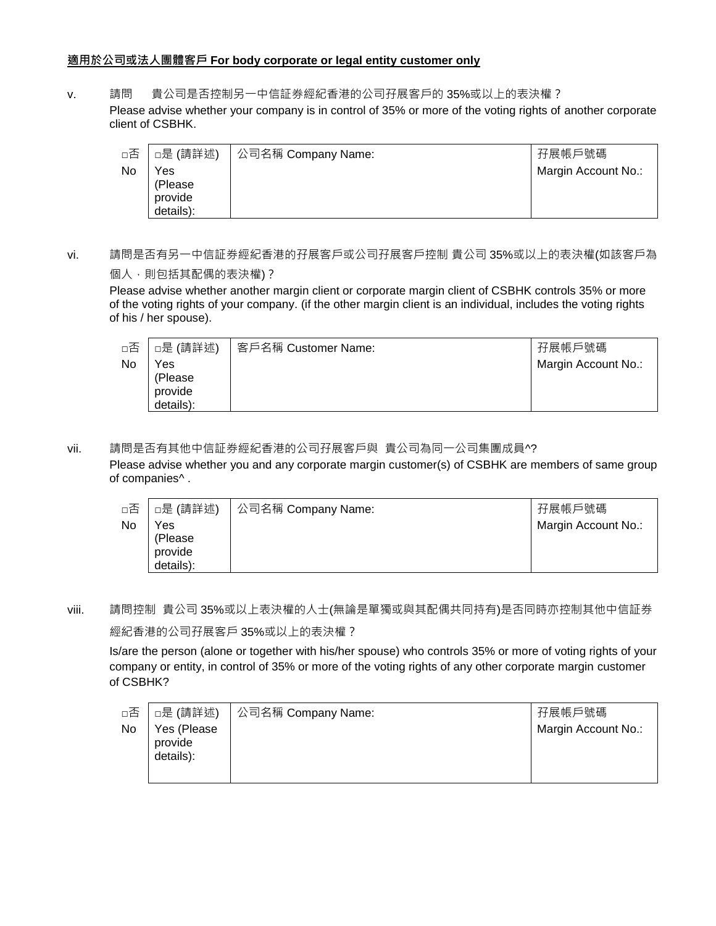## **適用於公司或法人團體客戶 For body corporate or legal entity customer only**

v. 請問 貴公司是否控制另一中信証券經紀香港的公司孖展客戶的 35%或以上的表決權?

Please advise whether your company is in control of 35% or more of the voting rights of another corporate client of CSBHK.

| □否        | □是 (請詳述)                                | 公司名稱 Company Name: | 孖展帳戶號碼              |
|-----------|-----------------------------------------|--------------------|---------------------|
| <b>No</b> | Yes<br>(Please)<br>provide<br>details): |                    | Margin Account No.: |

vi. 請問是否有另一中信証券經紀香港的孖展客戶或公司孖展客戶控制 貴公司 35%或以上的表決權(如該客戶為 個人,則包括其配偶的表決權)?

Please advise whether another margin client or corporate margin client of CSBHK controls 35% or more of the voting rights of your company. (if the other margin client is an individual, includes the voting rights of his / her spouse).

| □否        | □是 (請詳述)                                | 客戶名稱 Customer Name: | 孖展帳戶號碼              |
|-----------|-----------------------------------------|---------------------|---------------------|
| <b>No</b> | Yes<br>(Please)<br>provide<br>details): |                     | Margin Account No.: |

vii. 請問是否有其他中信証券經紀香港的公司孖展客戶與 貴公司為同一公司集團成員^?

Please advise whether you and any corporate margin customer(s) of CSBHK are members of same group of companies^ .

| □否        | □是 (請詳述)                               | 公司名稱 Company Name: | 孖展帳戶號碼              |
|-----------|----------------------------------------|--------------------|---------------------|
| <b>No</b> | Yes<br>(Please<br>provide<br>details): |                    | Margin Account No.: |

viii. 請問控制 貴公司 35%或以上表決權的人士(無論是單獨或與其配偶共同持有)是否同時亦控制其他中信証券 經紀香港的公司孖展客戶 35%或以上的表決權?

Is/are the person (alone or together with his/her spouse) who controls 35% or more of voting rights of your company or entity, in control of 35% or more of the voting rights of any other corporate margin customer of CSBHK?

| □否 | □是 (請詳述)                            | │ 公司名稱 Company Name: | 孖展帳戶號碼              |
|----|-------------------------------------|----------------------|---------------------|
| No | Yes (Please<br>provide<br>details): |                      | Margin Account No.: |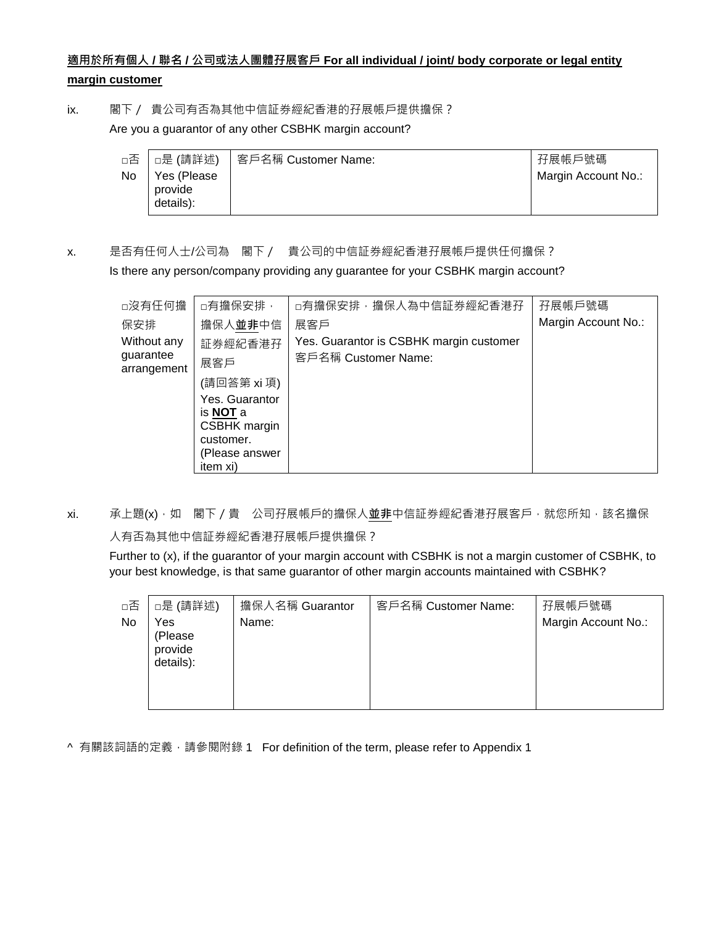# **適用於所有個人 / 聯名 / 公司或法人團體孖展客戶 For all individual / joint/ body corporate or legal entity margin customer**

ix. 閣下/ 貴公司有否為其他中信証券經紀香港的孖展帳戶提供擔保?

Are you a guarantor of any other CSBHK margin account?

| □否 | ┃□是 (請詳述)                            | 客戶名稱 Customer Name: | 孖展帳戶號碼              |
|----|--------------------------------------|---------------------|---------------------|
| No | Yes (Please)<br>provide<br>details): |                     | Margin Account No.: |

x. 是否有任何人士/公司為 閣下/ 貴公司的中信証券經紀香港孖展帳戶提供任何擔保?

Is there any person/company providing any guarantee for your CSBHK margin account?

| □沒有任何擔                   | □有擔保安排,                           | □有擔保安排,擔保人為中信証券經紀香港孖                    | 孖展帳戶號碼              |
|--------------------------|-----------------------------------|-----------------------------------------|---------------------|
| 保安排                      | 擔保人並非中信                           | 展客戶                                     | Margin Account No.: |
| Without any              | 証券經紀香港孖                           | Yes. Guarantor is CSBHK margin customer |                     |
| guarantee<br>arrangement | 展客戶                               | 客戶名稱 Customer Name:                     |                     |
|                          | (請回答第 xi 項)                       |                                         |                     |
|                          | Yes. Guarantor<br>is <b>NOT</b> a |                                         |                     |
|                          | <b>CSBHK</b> margin               |                                         |                     |
|                          | customer.                         |                                         |                     |
|                          | (Please answer                    |                                         |                     |
|                          | item xi)                          |                                         |                     |

xi. 承上題(x),如 閣下/貴 公司孖展帳戶的擔保人**並非**中信証券經紀香港孖展客戶,就您所知,該名擔保

人有否為其他中信証券經紀香港孖展帳戶提供擔保?

Further to (x), if the guarantor of your margin account with CSBHK is not a margin customer of CSBHK, to your best knowledge, is that same guarantor of other margin accounts maintained with CSBHK?

| □否 | □是 (請詳述)                               | 擔保人名稱 Guarantor | 客戶名稱 Customer Name: | 孖展帳戶號碼              |
|----|----------------------------------------|-----------------|---------------------|---------------------|
| No | Yes<br>(Please<br>provide<br>details): | Name:           |                     | Margin Account No.: |

^ 有關該詞語的定義, 請參閱附錄 1 For definition of the term, please refer to Appendix 1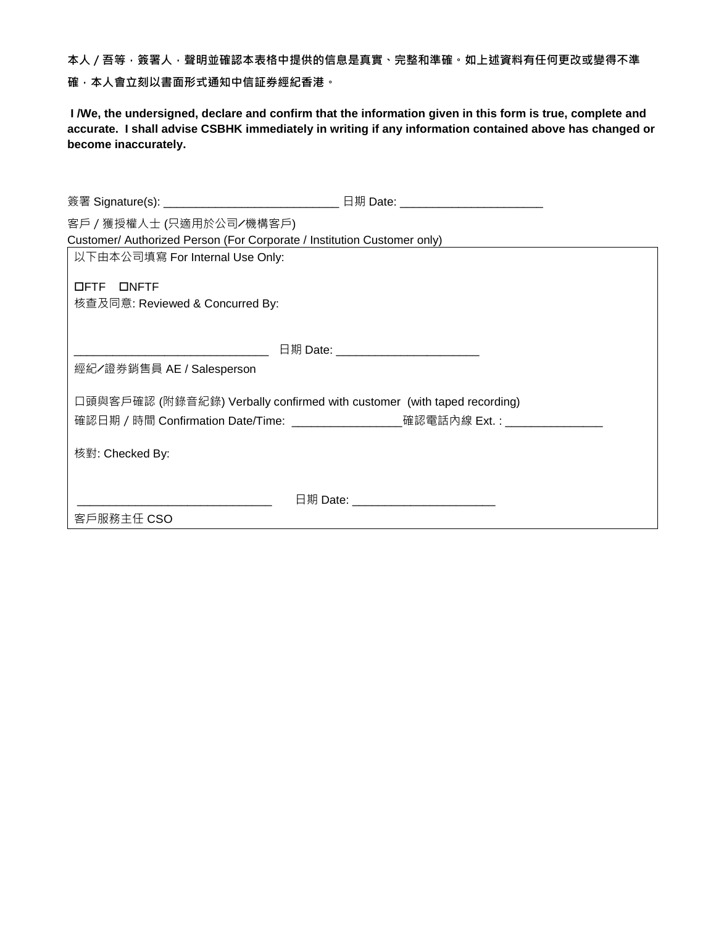本人 / 吾等 · 簽署人 · 聲明並確認本表格中提供的信息是真實 · 完整和準確 · 如上述資料有任何更改或變得不準 **確,本人會立刻以書面形式通知中信証券經紀香港。**

**I /We, the undersigned, declare and confirm that the information given in this form is true, complete and accurate. I shall advise CSBHK immediately in writing if any information contained above has changed or become inaccurately.**

| 簽署 Signature(s): _________________________________ 日期 Date: _____________________ |                                       |
|-----------------------------------------------------------------------------------|---------------------------------------|
| 客戶/獲授權人士 (只適用於公司/機構客戶)                                                            |                                       |
| Customer/ Authorized Person (For Corporate / Institution Customer only)           |                                       |
| 以下由本公司填寫 For Internal Use Only:                                                   |                                       |
|                                                                                   |                                       |
| OFTE ONFTE                                                                        |                                       |
| 核查及同意: Reviewed & Concurred By:                                                   |                                       |
|                                                                                   |                                       |
|                                                                                   | 日期 Date: ____________________________ |
| 經紀/證券銷售員 AE / Salesperson                                                         |                                       |
|                                                                                   |                                       |
| 口頭與客戶確認 (附錄音紀錄) Verbally confirmed with customer (with taped recording)           |                                       |
| 確認日期 / 時間 Confirmation Date/Time: ____________________確認電話內線 Ext.: _____________  |                                       |
|                                                                                   |                                       |
| 核對: Checked By:                                                                   |                                       |
|                                                                                   |                                       |
|                                                                                   | 日期 Date: ___________________________  |
|                                                                                   |                                       |
| 客戶服務主任 CSO                                                                        |                                       |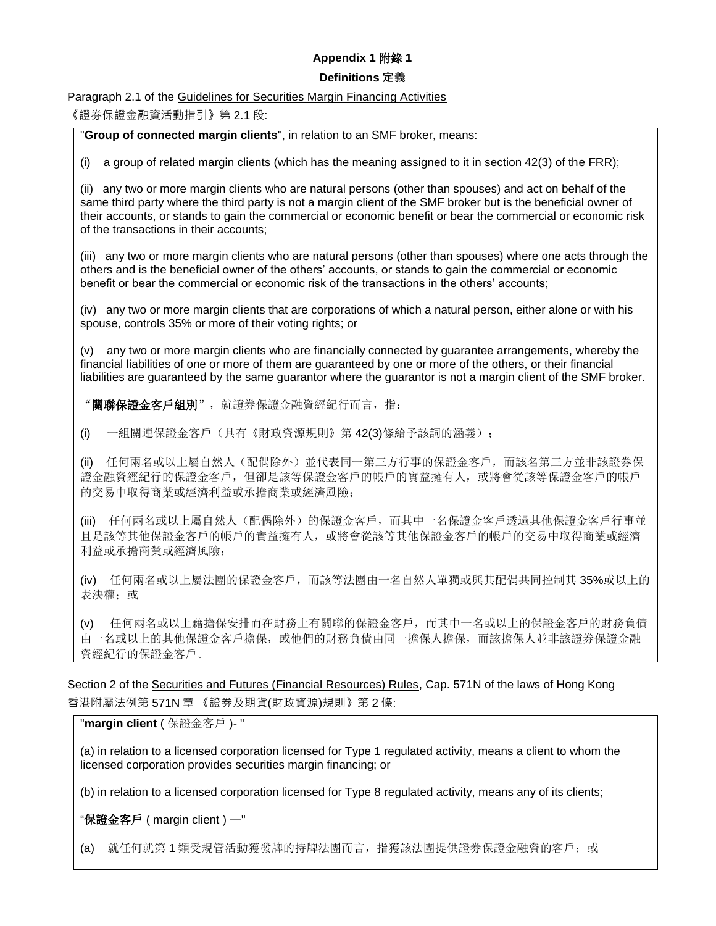# **Appendix 1** 附錄 **1**

#### **Definitions 定義**

Paragraph 2.1 of the Guidelines for Securities Margin Financing Activities

《證券保證金融資活動指引》第 2.1 段:

"**Group of connected margin clients**", in relation to an SMF broker, means:

(i) a group of related margin clients (which has the meaning assigned to it in section 42(3) of the FRR);

(ii) any two or more margin clients who are natural persons (other than spouses) and act on behalf of the same third party where the third party is not a margin client of the SMF broker but is the beneficial owner of their accounts, or stands to gain the commercial or economic benefit or bear the commercial or economic risk of the transactions in their accounts;

(iii) any two or more margin clients who are natural persons (other than spouses) where one acts through the others and is the beneficial owner of the others' accounts, or stands to gain the commercial or economic benefit or bear the commercial or economic risk of the transactions in the others' accounts;

(iv) any two or more margin clients that are corporations of which a natural person, either alone or with his spouse, controls 35% or more of their voting rights; or

(v) any two or more margin clients who are financially connected by guarantee arrangements, whereby the financial liabilities of one or more of them are guaranteed by one or more of the others, or their financial liabilities are guaranteed by the same guarantor where the guarantor is not a margin client of the SMF broker.

"關聯保證金客戶組別", 就證券保證金融資經紀行而言, 指:

(i) 一組關連保證金客戶(具有《財政資源規則》第 42(3)條給予該詞的涵義);

(ii) 任何兩名或以上屬自然人(配偶除外)並代表同一第三方行事的保證金客戶,而該名第三方並非該證券保 證金融資經紀行的保證金客戶,但卻是該等保證金客戶的帳戶的實益擁有人,或將會從該等保證金客戶的帳戶 的交易中取得商業或經濟利益或承擔商業或經濟風險;

(iii) 任何兩名或以上屬自然人(配偶除外)的保證金客戶,而其中一名保證金客戶透過其他保證金客戶行事並 且是該等其他保證金客戶的帳戶的實益擁有人,或將會從該等其他保證金客戶的帳戶的交易中取得商業或經濟 利益或承擔商業或經濟風險;

(iv) 任何兩名或以上屬法團的保證金客戶,而該等法團由一名自然人單獨或與其配偶共同控制其 35%或以上的 表決權: 或

(v) 任何兩名或以上藉擔保安排而在財務上有關聯的保證金客戶,而其中一名或以上的保證金客戶的財務負債 由一名或以上的其他保證金客戶擔保,或他們的財務負債由同一擔保人擔保,而該擔保人並非該證券保證金融 資經紀行的保證金客戶。

Section 2 of the Securities and Futures (Financial Resources) Rules, Cap. 571N of the laws of Hong Kong 香港附屬法例第 571N 章 《證券及期貨(財政資源)規則》第 2 條:

## "**margin client** ( 保證金客戶 )- "

(a) in relation to a licensed corporation licensed for Type 1 regulated activity, means a client to whom the licensed corporation provides securities margin financing; or

(b) in relation to a licensed corporation licensed for Type 8 regulated activity, means any of its clients;

"保證金客戶 ( margin client ) —"

(a) 就任何就第 1 類受規管活動獲發牌的持牌法團而言,指獲該法團提供證券保證金融資的客戶;或